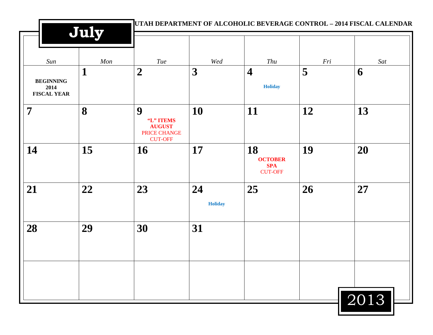|                                                | July |                                                                   |                      |                                                      |     | UTAH DEPARTMENT OF ALCOHOLIC BEVERAGE CONTROL - 2014 FISCAL CALENDAR |
|------------------------------------------------|------|-------------------------------------------------------------------|----------------------|------------------------------------------------------|-----|----------------------------------------------------------------------|
| Sun                                            | Mon  | Tue                                                               | Wed                  | Thu                                                  | Fri | Sat                                                                  |
| <b>BEGINNING</b><br>2014<br><b>FISCAL YEAR</b> | 1    | $\boldsymbol{2}$                                                  | 3                    | $\overline{\mathbf{4}}$<br><b>Holiday</b>            | 5   | 6                                                                    |
| $\overline{7}$                                 | 8    | 9<br>"L" ITEMS<br><b>AUGUST</b><br>PRICE CHANGE<br><b>CUT-OFF</b> | 10                   | 11                                                   | 12  | 13                                                                   |
| 14                                             | 15   | 16                                                                | 17                   | 18<br><b>OCTOBER</b><br><b>SPA</b><br><b>CUT-OFF</b> | 19  | 20                                                                   |
| 21                                             | 22   | 23                                                                | 24<br><b>Holiday</b> | 25                                                   | 26  | 27                                                                   |
| 28                                             | 29   | 30                                                                | 31                   |                                                      |     |                                                                      |
|                                                |      |                                                                   |                      |                                                      |     | 2013                                                                 |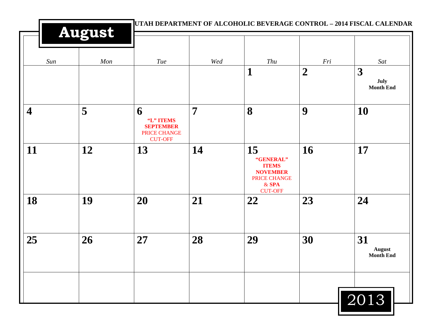|                         | <b>August</b> |                                                                             |                | UTAH DEPARTMENT OF ALCOHOLIC BEVERAGE CONTROL - 2014 FISCAL CALENDAR                            |                         |                                         |
|-------------------------|---------------|-----------------------------------------------------------------------------|----------------|-------------------------------------------------------------------------------------------------|-------------------------|-----------------------------------------|
| Sun                     | Mon           | Tue                                                                         | Wed            | Thu<br>1                                                                                        | Fri<br>$\boldsymbol{2}$ | Sat<br>3                                |
|                         |               |                                                                             |                |                                                                                                 |                         | July<br><b>Month End</b>                |
| $\overline{\mathbf{4}}$ | 5             | 6<br>"L" ITEMS<br><b>SEPTEMBER</b><br><b>PRICE CHANGE</b><br><b>CUT-OFF</b> | $\overline{7}$ | 8                                                                                               | 9                       | 10                                      |
| 11                      | 12            | 13                                                                          | 14             | 15<br>"GENERAL"<br><b>ITEMS</b><br><b>NOVEMBER</b><br>PRICE CHANGE<br>$&$ SPA<br><b>CUT-OFF</b> | <b>16</b>               | 17                                      |
| 18                      | 19            | 20                                                                          | 21             | 22                                                                                              | 23                      | 24                                      |
| 25                      | 26            | 27                                                                          | 28             | 29                                                                                              | 30                      | 31<br><b>August</b><br><b>Month End</b> |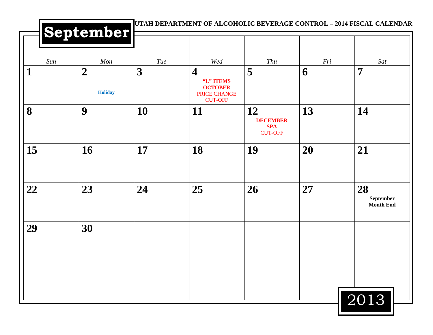|     | September                          |     |                                                                                          |                                                       |     |                                             |
|-----|------------------------------------|-----|------------------------------------------------------------------------------------------|-------------------------------------------------------|-----|---------------------------------------------|
| Sun | Mon                                | Tue | Wed                                                                                      | Thu                                                   | Fri | Sat                                         |
| 1   | $\boldsymbol{2}$<br><b>Holiday</b> | 3   | $\overline{\mathbf{4}}$<br>"L" ITEMS<br><b>OCTOBER</b><br>PRICE CHANGE<br><b>CUT-OFF</b> | 5                                                     | 6   | 7                                           |
| 8   | 9                                  | 10  | 11                                                                                       | 12<br><b>DECEMBER</b><br><b>SPA</b><br><b>CUT-OFF</b> | 13  | 14                                          |
| 15  | 16                                 | 17  | 18                                                                                       | 19                                                    | 20  | 21                                          |
| 22  | 23                                 | 24  | 25                                                                                       | 26                                                    | 27  | 28<br>${\bf September}$<br><b>Month End</b> |
| 29  | 30                                 |     |                                                                                          |                                                       |     |                                             |
|     |                                    |     |                                                                                          |                                                       |     |                                             |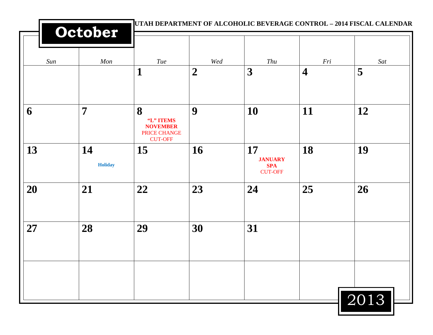|     | October              |                                                                     |                  |                                                      |                         | UTAH DEPARTMENT OF ALCOHOLIC BEVERAGE CONTROL - 2014 FISCAL CALENDAR |
|-----|----------------------|---------------------------------------------------------------------|------------------|------------------------------------------------------|-------------------------|----------------------------------------------------------------------|
| Sun | Mon                  | Tue                                                                 | Wed              | Thu                                                  | Fri                     | Sat                                                                  |
|     |                      | $\mathbf 1$                                                         | $\boldsymbol{2}$ | 3                                                    | $\overline{\mathbf{4}}$ | 5                                                                    |
| 6   | $\overline{7}$       | 8<br>"L" ITEMS<br><b>NOVEMBER</b><br>PRICE CHANGE<br><b>CUT-OFF</b> | 9                | <b>10</b>                                            | 11                      | 12                                                                   |
| 13  | 14<br><b>Holiday</b> | 15                                                                  | 16               | 17<br><b>JANUARY</b><br><b>SPA</b><br><b>CUT-OFF</b> | 18                      | 19                                                                   |
| 20  | 21                   | 22                                                                  | 23               | 24                                                   | 25                      | 26                                                                   |
| 27  | 28                   | 29                                                                  | 30               | 31                                                   |                         |                                                                      |
|     |                      |                                                                     |                  |                                                      |                         | 2013                                                                 |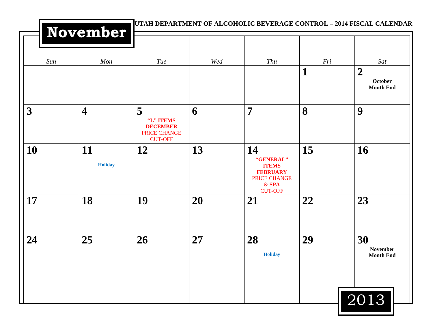|                         | November                |                                                                     |     | UTAH DEPARTMENT OF ALCOHOLIC BEVERAGE CONTROL - 2014 FISCAL CALENDAR                                   |          |                                                        |
|-------------------------|-------------------------|---------------------------------------------------------------------|-----|--------------------------------------------------------------------------------------------------------|----------|--------------------------------------------------------|
| Sun                     | Mon                     | Tue                                                                 | Wed | Thu                                                                                                    | Fri<br>1 | Sat<br>$\boldsymbol{2}$<br>October<br><b>Month End</b> |
| $\overline{\mathbf{3}}$ | $\overline{\mathbf{4}}$ | 5<br>"L" ITEMS<br><b>DECEMBER</b><br>PRICE CHANGE<br><b>CUT-OFF</b> | 6   | $\overline{7}$                                                                                         | 8        | 9                                                      |
| 10                      | 11<br>Holiday           | <b>12</b>                                                           | 13  | 14<br>"GENERAL"<br><b>ITEMS</b><br><b>FEBRUARY</b><br><b>PRICE CHANGE</b><br>$&$ SPA<br><b>CUT-OFF</b> | 15       | 16                                                     |
| 17                      | 18                      | 19                                                                  | 20  | 21                                                                                                     | 22       | 23                                                     |
| 24                      | 25                      | 26                                                                  | 27  | 28<br><b>Holiday</b>                                                                                   | 29       | 30<br><b>November</b><br><b>Month End</b>              |
|                         |                         |                                                                     |     |                                                                                                        |          | 2013                                                   |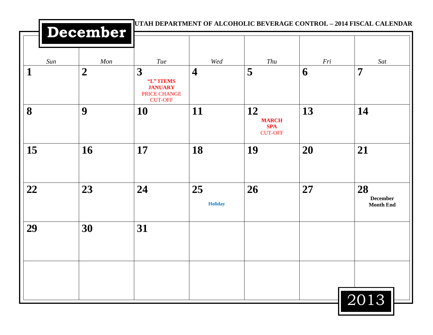|              | December         |                                                                    |                         |                                                    |     | UTAH DEPARTMENT OF ALCOHOLIC BEVERAGE CONTROL - 2014 FISCAL CALENDAR |
|--------------|------------------|--------------------------------------------------------------------|-------------------------|----------------------------------------------------|-----|----------------------------------------------------------------------|
| Sun          | Mon              | Tue                                                                | Wed                     | Thu                                                | Fri | Sat                                                                  |
| $\mathbf{1}$ | $\boldsymbol{2}$ | 3<br>"L" ITEMS<br><b>JANUARY</b><br>PRICE CHANGE<br><b>CUT-OFF</b> | $\overline{\mathbf{4}}$ | 5                                                  | 6   | $\overline{7}$                                                       |
| 8            | 9                | 10                                                                 | 11                      | 12<br><b>MARCH</b><br><b>SPA</b><br><b>CUT-OFF</b> | 13  | 14                                                                   |
| 15           | 16               | 17                                                                 | 18                      | 19                                                 | 20  | 21                                                                   |
| 22           | 23               | 24                                                                 | 25<br><b>Holiday</b>    | 26                                                 | 27  | 28<br><b>December</b><br><b>Month End</b>                            |
| 29           | 30               | 31                                                                 |                         |                                                    |     |                                                                      |
|              |                  |                                                                    |                         |                                                    |     | 2013                                                                 |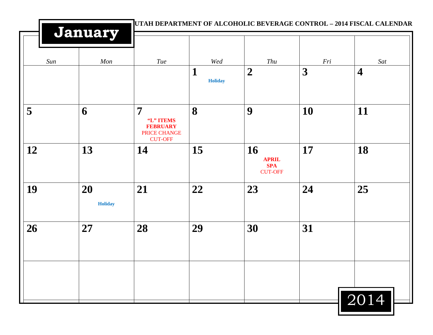|     |                      |                                                                                  |                     |                                                    |           | UTAH DEPARTMENT OF ALCOHOLIC BEVERAGE CONTROL - 2014 FISCAL CALENDAR |
|-----|----------------------|----------------------------------------------------------------------------------|---------------------|----------------------------------------------------|-----------|----------------------------------------------------------------------|
|     | January              |                                                                                  |                     |                                                    |           |                                                                      |
| Sun | Mon                  | Tue                                                                              | Wed                 | Thu                                                | Fri       | Sat                                                                  |
|     |                      |                                                                                  | 1<br><b>Holiday</b> | $\boldsymbol{2}$                                   | 3         | $\overline{\mathbf{4}}$                                              |
| 5   | 6                    | $\overline{7}$<br>"L" ITEMS<br><b>FEBRUARY</b><br>PRICE CHANGE<br><b>CUT-OFF</b> | 8                   | 9                                                  | <b>10</b> | 11                                                                   |
| 12  | 13                   | 14                                                                               | 15                  | 16<br><b>APRIL</b><br><b>SPA</b><br><b>CUT-OFF</b> | 17        | 18                                                                   |
| 19  | 20<br><b>Holiday</b> | 21                                                                               | 22                  | 23                                                 | 24        | 25                                                                   |
| 26  | 27                   | 28                                                                               | 29                  | 30                                                 | 31        |                                                                      |
|     |                      |                                                                                  |                     |                                                    |           | 2014                                                                 |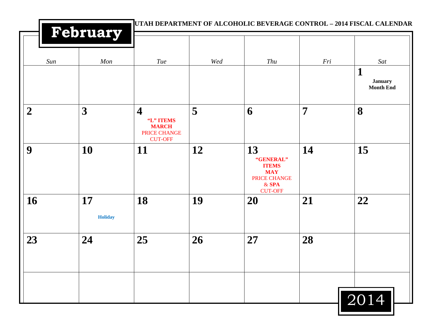|                | February             |                                                                                        |     | UTAH DEPARTMENT OF ALCOHOLIC BEVERAGE CONTROL - 2014 FISCAL CALENDAR                       |                |                                                |
|----------------|----------------------|----------------------------------------------------------------------------------------|-----|--------------------------------------------------------------------------------------------|----------------|------------------------------------------------|
| Sun            | Mon                  | <b>Tue</b>                                                                             | Wed | Thu                                                                                        | Fri            | Sat<br>1<br><b>January</b><br><b>Month End</b> |
| $\overline{2}$ | 3                    | $\overline{\mathbf{4}}$<br>"L" ITEMS<br><b>MARCH</b><br>PRICE CHANGE<br><b>CUT-OFF</b> | 5   | 6                                                                                          | $\overline{7}$ | 8                                              |
| 9              | 10                   | <b>11</b>                                                                              | 12  | 13<br>"GENERAL"<br><b>ITEMS</b><br><b>MAY</b><br>PRICE CHANGE<br>$&$ SPA<br><b>CUT-OFF</b> | 14             | 15                                             |
| 16             | 17<br><b>Holiday</b> | 18                                                                                     | 19  | <b>20</b>                                                                                  | 21             | 22                                             |
| 23             | 24                   | 25                                                                                     | 26  | 27                                                                                         | 28             |                                                |
|                |                      |                                                                                        |     |                                                                                            |                | 2014                                           |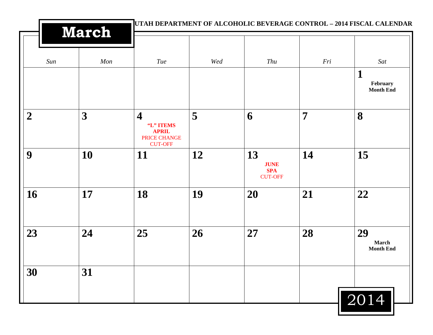|                  | <b>March</b> |                                                                                        |     |                                                   |                | UTAH DEPARTMENT OF ALCOHOLIC BEVERAGE CONTROL - 2014 FISCAL CALENDAR |  |
|------------------|--------------|----------------------------------------------------------------------------------------|-----|---------------------------------------------------|----------------|----------------------------------------------------------------------|--|
| Sun              | Mon          | Tue                                                                                    | Wed | Thu                                               | Fri            | Sat                                                                  |  |
|                  |              |                                                                                        |     |                                                   |                | $\mathbf{1}$<br>February<br><b>Month End</b>                         |  |
| $\boldsymbol{2}$ | 3            | $\overline{\mathbf{4}}$<br>"L" ITEMS<br><b>APRIL</b><br>PRICE CHANGE<br><b>CUT-OFF</b> | 5   | 6                                                 | $\overline{7}$ | 8                                                                    |  |
| 9                | 10           | <b>11</b>                                                                              | 12  | 13<br><b>JUNE</b><br><b>SPA</b><br><b>CUT-OFF</b> | 14             | 15                                                                   |  |
| 16               | 17           | 18                                                                                     | 19  | 20                                                | 21             | 22                                                                   |  |
| 23               | 24           | 25                                                                                     | 26  | 27                                                | 28             | 29<br>March<br><b>Month End</b>                                      |  |
| 30               | 31           |                                                                                        |     |                                                   |                |                                                                      |  |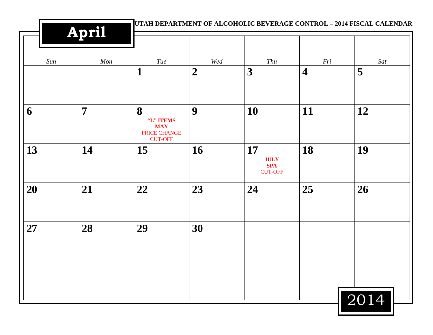|     | April          | UTAH DEPARTMENT OF ALCOHOLIC BEVERAGE CONTROL - 2014 FISCAL CALENDAR |                |                                                   |                         |      |  |
|-----|----------------|----------------------------------------------------------------------|----------------|---------------------------------------------------|-------------------------|------|--|
| Sun | Mon            | Tue                                                                  | Wed            | Thu                                               | Fri                     | Sat  |  |
|     |                | $\mathbf{1}$                                                         | $\overline{2}$ | 3                                                 | $\overline{\mathbf{4}}$ | 5    |  |
| 6   | $\overline{7}$ | 8<br>"L" ITEMS<br><b>MAY</b><br>PRICE CHANGE<br><b>CUT-OFF</b>       | 9              | <b>10</b>                                         | 11                      | 12   |  |
| 13  | 14             | 15                                                                   | 16             | 17<br><b>JULY</b><br><b>SPA</b><br><b>CUT-OFF</b> | 18                      | 19   |  |
| 20  | 21             | 22                                                                   | 23             | 24                                                | 25                      | 26   |  |
| 27  | 28             | 29                                                                   | 30             |                                                   |                         |      |  |
|     |                |                                                                      |                |                                                   |                         | 2014 |  |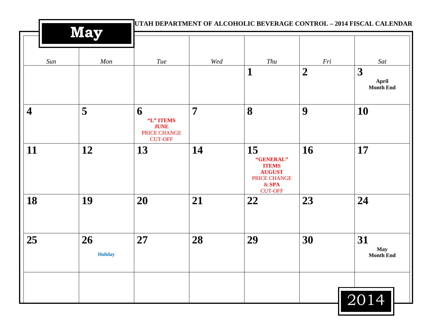|                         | <b>May</b>           | UTAH DEPARTMENT OF ALCOHOLIC BEVERAGE CONTROL - 2014 FISCAL CALENDAR   |                |                                                                                               |                         |                                      |  |
|-------------------------|----------------------|------------------------------------------------------------------------|----------------|-----------------------------------------------------------------------------------------------|-------------------------|--------------------------------------|--|
| Sun                     | Mon                  | <b>Tue</b>                                                             | Wed            | Thu<br>1                                                                                      | Fri<br>$\boldsymbol{2}$ | Sat<br>$\boldsymbol{3}$              |  |
|                         |                      |                                                                        |                |                                                                                               |                         | <b>April</b><br>Month End            |  |
| $\overline{\mathbf{4}}$ | 5                    | 6<br>"L" ITEMS<br><b>JUNE</b><br><b>PRICE CHANGE</b><br><b>CUT-OFF</b> | $\overline{7}$ | 8                                                                                             | 9                       | 10                                   |  |
| 11                      | 12                   | 13                                                                     | 14             | 15<br>"GENERAL"<br><b>ITEMS</b><br><b>AUGUST</b><br>PRICE CHANGE<br>$&$ SPA<br><b>CUT-OFF</b> | 16                      | 17                                   |  |
| 18                      | 19                   | 20                                                                     | 21             | 22                                                                                            | 23                      | 24                                   |  |
| 25                      | 26<br><b>Holiday</b> | 27                                                                     | 28             | 29                                                                                            | 30                      | 31<br><b>May</b><br><b>Month End</b> |  |